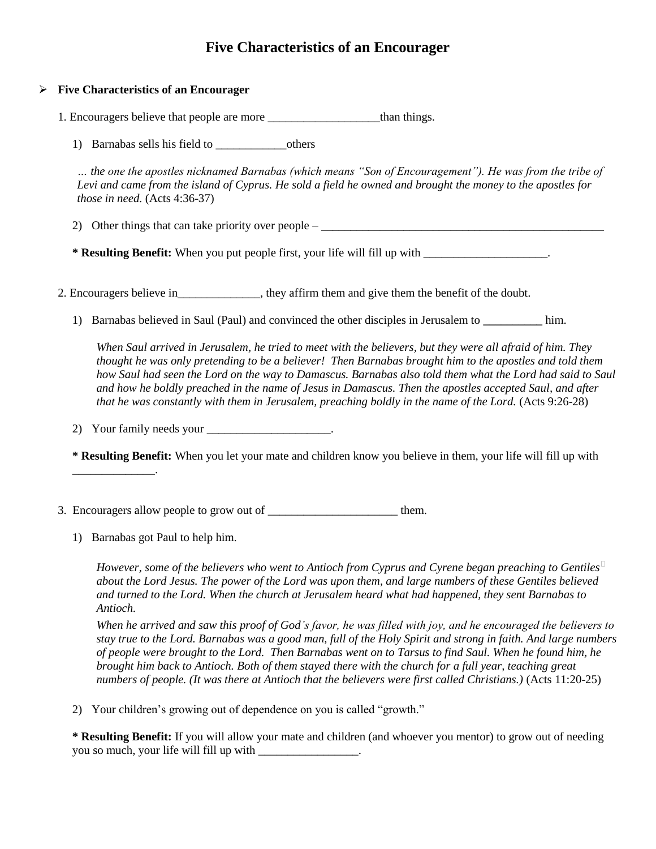## **Five Characteristics of an Encourager**

## **Five Characteristics of an Encourager**

1. Encouragers believe that people are more \_\_\_\_\_\_\_\_\_\_\_\_\_\_\_\_\_\_\_\_than things.

1) Barnabas sells his field to \_\_\_\_\_\_\_\_\_\_\_\_others

*… the one the apostles nicknamed Barnabas (which means "Son of Encouragement"). He was from the tribe of Levi and came from the island of Cyprus. He sold a field he owned and brought the money to the apostles for those in need.* (Acts 4:36-37)

2) Other things that can take priority over people  $-$ 

**\* Resulting Benefit:** When you put people first, your life will fill up with \_\_\_\_\_\_\_\_\_\_\_\_\_\_\_\_\_\_\_\_\_.

2. Encouragers believe in the state in the state of the doubt.

1) Barnabas believed in Saul (Paul) and convinced the other disciples in Jerusalem to **\_\_\_\_\_\_\_\_\_\_** him.

*When Saul arrived in Jerusalem, he tried to meet with the believers, but they were all afraid of him. They thought he was only pretending to be a believer! Then Barnabas brought him to the apostles and told them how Saul had seen the Lord on the way to Damascus. Barnabas also told them what the Lord had said to Saul and how he boldly preached in the name of Jesus in Damascus. Then the apostles accepted Saul, and after that he was constantly with them in Jerusalem, preaching boldly in the name of the Lord.* (Acts 9:26-28)

2) Your family needs your \_\_\_\_\_\_\_\_\_\_\_\_\_\_\_\_\_\_\_\_\_\_.

**\* Resulting Benefit:** When you let your mate and children know you believe in them, your life will fill up with

- 3. Encouragers allow people to grow out of \_\_\_\_\_\_\_\_\_\_\_\_\_\_\_\_\_\_\_\_\_\_\_\_\_\_\_\_ them.
	- 1) Barnabas got Paul to help him.

\_\_\_\_\_\_\_\_\_\_\_\_\_\_.

*However, some of the believers who went to Antioch from Cyprus and Cyrene began preaching to Gentiles about the Lord Jesus. The power of the Lord was upon them, and large numbers of these Gentiles believed and turned to the Lord. When the church at Jerusalem heard what had happened, they sent Barnabas to Antioch.* 

*When he arrived and saw this proof of God's favor, he was filled with joy, and he encouraged the believers to stay true to the Lord. Barnabas was a good man, full of the Holy Spirit and strong in faith. And large numbers of people were brought to the Lord. Then Barnabas went on to Tarsus to find Saul. When he found him, he brought him back to Antioch. Both of them stayed there with the church for a full year, teaching great numbers of people. (It was there at Antioch that the believers were first called Christians.)* (Acts 11:20-25)

2) Your children's growing out of dependence on you is called "growth."

**\* Resulting Benefit:** If you will allow your mate and children (and whoever you mentor) to grow out of needing you so much, your life will fill up with \_\_\_\_\_\_\_\_\_\_\_\_\_\_\_\_\_.